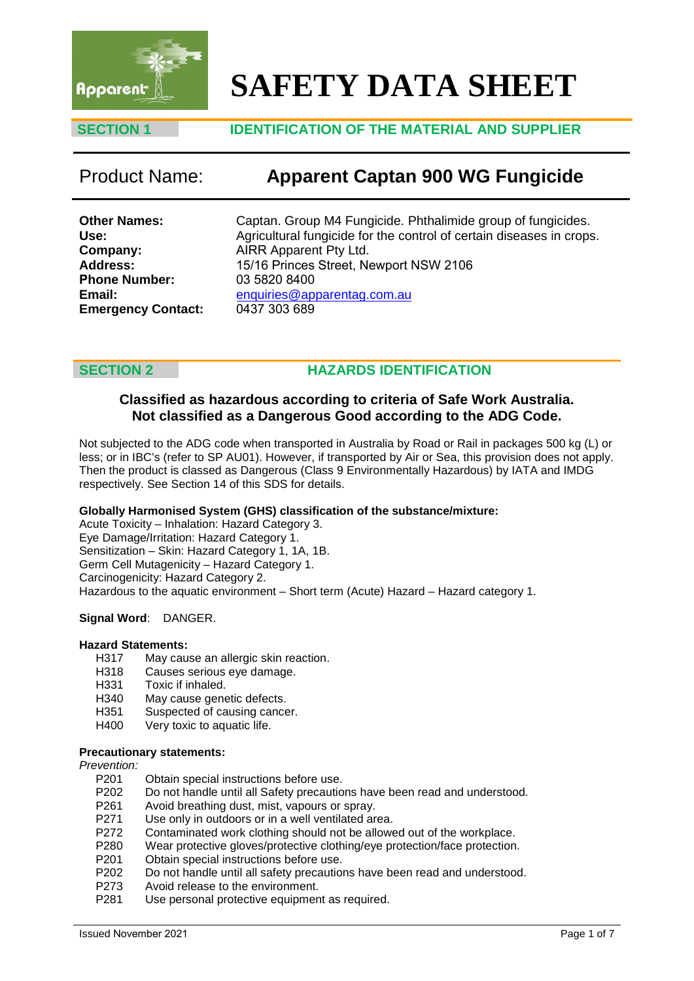

# **SAFETY DATA SHEET**

### **SECTION 1 IDENTIFICATION OF THE MATERIAL AND SUPPLIER**

## Product Name: **Apparent Captan 900 WG Fungicide**

**Other Names: Use: Company: Address: Phone Number: Email: Emergency Contact:** Captan. Group M4 Fungicide. Phthalimide group of fungicides. Agricultural fungicide for the control of certain diseases in crops. AIRR Apparent Pty Ltd. 15/16 Princes Street, Newport NSW 2106 03 5820 8400 enquiries@apparentag.com.au 0437 303 689

### **SECTION 2 HAZARDS IDENTIFICATION**

### **Classified as hazardous according to criteria of Safe Work Australia. Not classified as a Dangerous Good according to the ADG Code.**

Not subjected to the ADG code when transported in Australia by Road or Rail in packages 500 kg (L) or less; or in IBC's (refer to SP AU01). However, if transported by Air or Sea, this provision does not apply. Then the product is classed as Dangerous (Class 9 Environmentally Hazardous) by IATA and IMDG respectively. See Section 14 of this SDS for details.

#### **Globally Harmonised System (GHS) classification of the substance/mixture:**

Acute Toxicity – Inhalation: Hazard Category 3. Eye Damage/Irritation: Hazard Category 1. Sensitization – Skin: Hazard Category 1, 1A, 1B. Germ Cell Mutagenicity – Hazard Category 1. Carcinogenicity: Hazard Category 2. Hazardous to the aquatic environment – Short term (Acute) Hazard – Hazard category 1.

#### **Signal Word**: DANGER.

# **Hazard Statements:**

- May cause an allergic skin reaction.
- H318 Causes serious eye damage.<br>H331 Toxic if inhaled.
- H331 Toxic if inhaled.<br>H340 May cause gene
- May cause genetic defects.
- H351 Suspected of causing cancer.<br>H400 Very toxic to aquatic life.
- Very toxic to aquatic life.

#### **Precautionary statements:**

*Prevention:*

- Obtain special instructions before use.
- P202 Do not handle until all Safety precautions have been read and understood.
- P261 Avoid breathing dust, mist, vapours or spray.<br>P271 Use only in outdoors or in a well ventilated are
- Use only in outdoors or in a well ventilated area.
- P272 Contaminated work clothing should not be allowed out of the workplace.<br>P280 Vear protective gloves/protective clothing/eve protection/face protection.
- P280 Wear protective gloves/protective clothing/eye protection/face protection.<br>P201 Obtain special instructions before use.
- Obtain special instructions before use.
- P202 Do not handle until all safety precautions have been read and understood.
- P273 Avoid release to the environment.<br>P281 Use personal protective equipment
- Use personal protective equipment as required.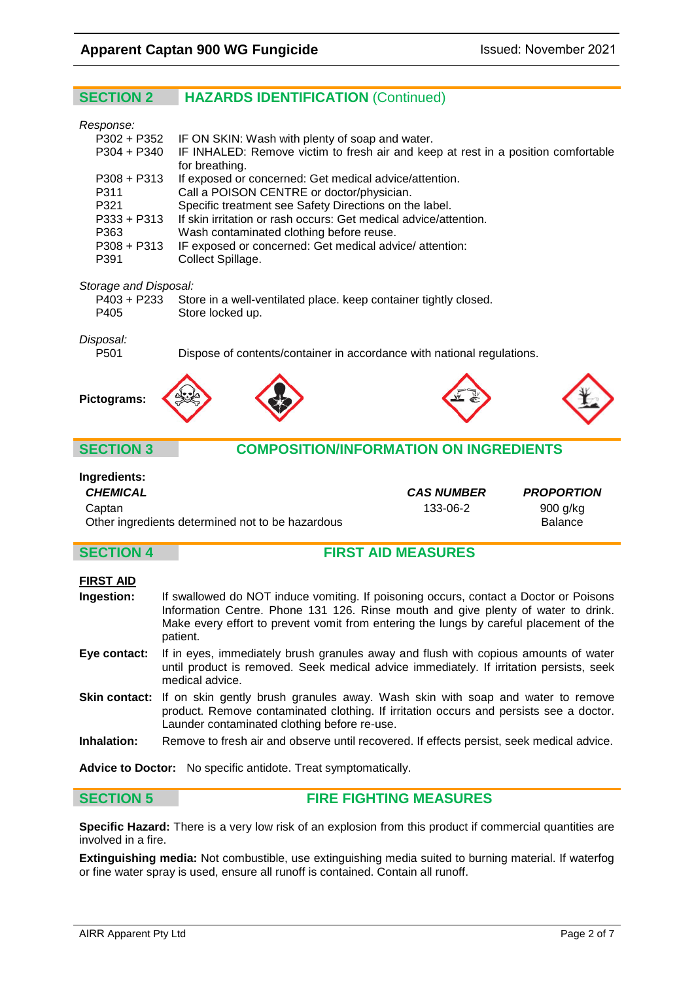### **SECTION 2 HAZARDS IDENTIFICATION** (Continued)

#### *Response:*

| ,,,,,,,,,     |                                                                                               |
|---------------|-----------------------------------------------------------------------------------------------|
|               | P302 + P352 IF ON SKIN: Wash with plenty of soap and water.                                   |
|               | P304 + P340 IF INHALED: Remove victim to fresh air and keep at rest in a position comfortable |
|               | for breathing.                                                                                |
| $P308 + P313$ | If exposed or concerned: Get medical advice/attention.                                        |
| P311          | Call a POISON CENTRE or doctor/physician.                                                     |
| P321          | Specific treatment see Safety Directions on the label.                                        |
| $P333 + P313$ | If skin irritation or rash occurs: Get medical advice/attention.                              |
| P363          | Wash contaminated clothing before reuse.                                                      |
| $P308 + P313$ | IF exposed or concerned: Get medical advice/attention:                                        |
| P391          | Collect Spillage.                                                                             |
|               |                                                                                               |

#### *Storage and Disposal:*

|      | P403 + P233 Store in a well-ventilated place. keep container tightly closed. |
|------|------------------------------------------------------------------------------|
| P405 | Store locked up.                                                             |

# *Disposal:*

Dispose of contents/container in accordance with national regulations.



#### **SECTION 3 COMPOSITION/INFORMATION ON INGREDIENTS**

#### **Ingredients:**

*CHEMICAL CAS NUMBER PROPORTION* Captan 133-06-2 900 g/kg Other ingredients determined not to be hazardous **Balance** Balance

#### **SECTION 4 FIRST AID MEASURES**

#### **FIRST AID**

| Ingestion: | If swallowed do NOT induce vomiting. If poisoning occurs, contact a Doctor or Poisons              |
|------------|----------------------------------------------------------------------------------------------------|
|            | Information Centre. Phone 131 126. Rinse mouth and give plenty of water to drink.                  |
|            | Make every effort to prevent vomit from entering the lungs by careful placement of the<br>patient. |

- **Eye contact:** If in eyes, immediately brush granules away and flush with copious amounts of water until product is removed. Seek medical advice immediately. If irritation persists, seek medical advice.
- Skin contact: If on skin gently brush granules away. Wash skin with soap and water to remove product. Remove contaminated clothing. If irritation occurs and persists see a doctor. Launder contaminated clothing before re-use.
- **Inhalation:** Remove to fresh air and observe until recovered. If effects persist, seek medical advice.

**Advice to Doctor:** No specific antidote. Treat symptomatically.

#### **SECTION 5 FIRE FIGHTING MEASURES**

**Specific Hazard:** There is a very low risk of an explosion from this product if commercial quantities are involved in a fire.

**Extinguishing media:** Not combustible, use extinguishing media suited to burning material. If waterfog or fine water spray is used, ensure all runoff is contained. Contain all runoff.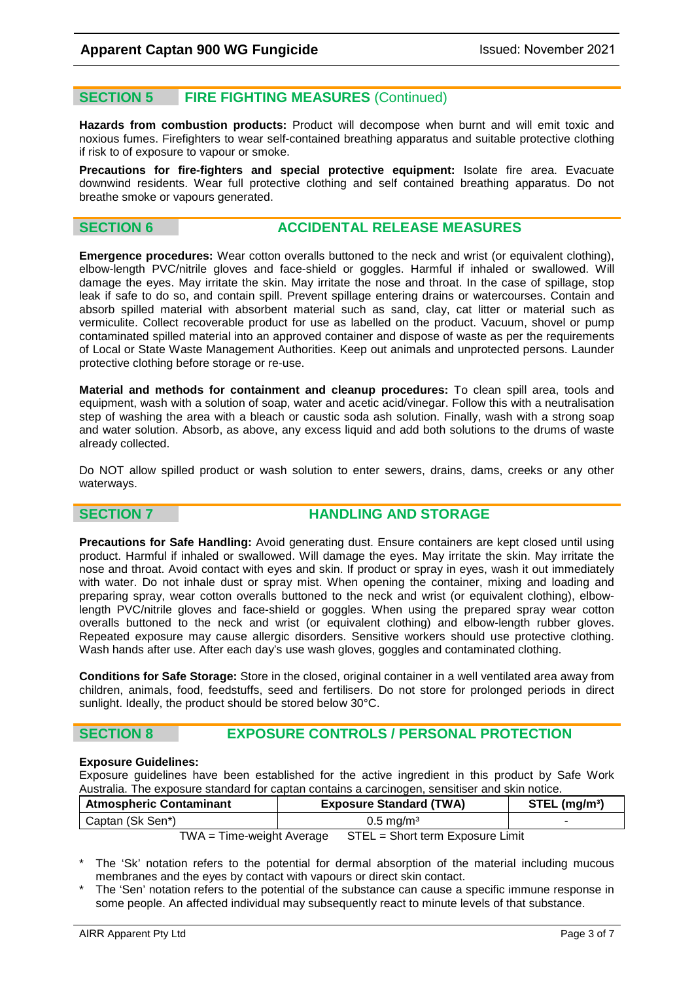### **SECTION 5 FIRE FIGHTING MEASURES** (Continued)

**Hazards from combustion products:** Product will decompose when burnt and will emit toxic and noxious fumes. Firefighters to wear self-contained breathing apparatus and suitable protective clothing if risk to of exposure to vapour or smoke.

**Precautions for fire-fighters and special protective equipment:** Isolate fire area. Evacuate downwind residents. Wear full protective clothing and self contained breathing apparatus. Do not breathe smoke or vapours generated.

### **SECTION 6 ACCIDENTAL RELEASE MEASURES**

**Emergence procedures:** Wear cotton overalls buttoned to the neck and wrist (or equivalent clothing), elbow-length PVC/nitrile gloves and face-shield or goggles. Harmful if inhaled or swallowed. Will damage the eyes. May irritate the skin. May irritate the nose and throat. In the case of spillage, stop leak if safe to do so, and contain spill. Prevent spillage entering drains or watercourses. Contain and absorb spilled material with absorbent material such as sand, clay, cat litter or material such as vermiculite. Collect recoverable product for use as labelled on the product. Vacuum, shovel or pump contaminated spilled material into an approved container and dispose of waste as per the requirements of Local or State Waste Management Authorities. Keep out animals and unprotected persons. Launder protective clothing before storage or re-use.

**Material and methods for containment and cleanup procedures:** To clean spill area, tools and equipment, wash with a solution of soap, water and acetic acid/vinegar. Follow this with a neutralisation step of washing the area with a bleach or caustic soda ash solution. Finally, wash with a strong soap and water solution. Absorb, as above, any excess liquid and add both solutions to the drums of waste already collected.

Do NOT allow spilled product or wash solution to enter sewers, drains, dams, creeks or any other waterways.

### **SECTION 7 HANDLING AND STORAGE**

**Precautions for Safe Handling:** Avoid generating dust. Ensure containers are kept closed until using product. Harmful if inhaled or swallowed. Will damage the eyes. May irritate the skin. May irritate the nose and throat. Avoid contact with eyes and skin. If product or spray in eyes, wash it out immediately with water. Do not inhale dust or spray mist. When opening the container, mixing and loading and preparing spray, wear cotton overalls buttoned to the neck and wrist (or equivalent clothing), elbowlength PVC/nitrile gloves and face-shield or goggles. When using the prepared spray wear cotton overalls buttoned to the neck and wrist (or equivalent clothing) and elbow-length rubber gloves. Repeated exposure may cause allergic disorders. Sensitive workers should use protective clothing. Wash hands after use. After each day's use wash gloves, goggles and contaminated clothing.

**Conditions for Safe Storage:** Store in the closed, original container in a well ventilated area away from children, animals, food, feedstuffs, seed and fertilisers. Do not store for prolonged periods in direct sunlight. Ideally, the product should be stored below 30°C.

### **SECTION 8 EXPOSURE CONTROLS / PERSONAL PROTECTION**

#### **Exposure Guidelines:**

Exposure guidelines have been established for the active ingredient in this product by Safe Work Australia. The exposure standard for captan contains a carcinogen, sensitiser and skin notice.

| <b>Atmospheric Contaminant</b> | <b>Exposure Standard (TWA)</b>   | $STEL$ (mg/m <sup>3</sup> ) |
|--------------------------------|----------------------------------|-----------------------------|
| Captan (Sk Sen*)               | $0.5 \,\mathrm{mag/m^3}$         |                             |
| $TWA = Time-weight Average$    | STEL = Short term Exposure Limit |                             |

The 'Sk' notation refers to the potential for dermal absorption of the material including mucous membranes and the eyes by contact with vapours or direct skin contact.

The 'Sen' notation refers to the potential of the substance can cause a specific immune response in some people. An affected individual may subsequently react to minute levels of that substance.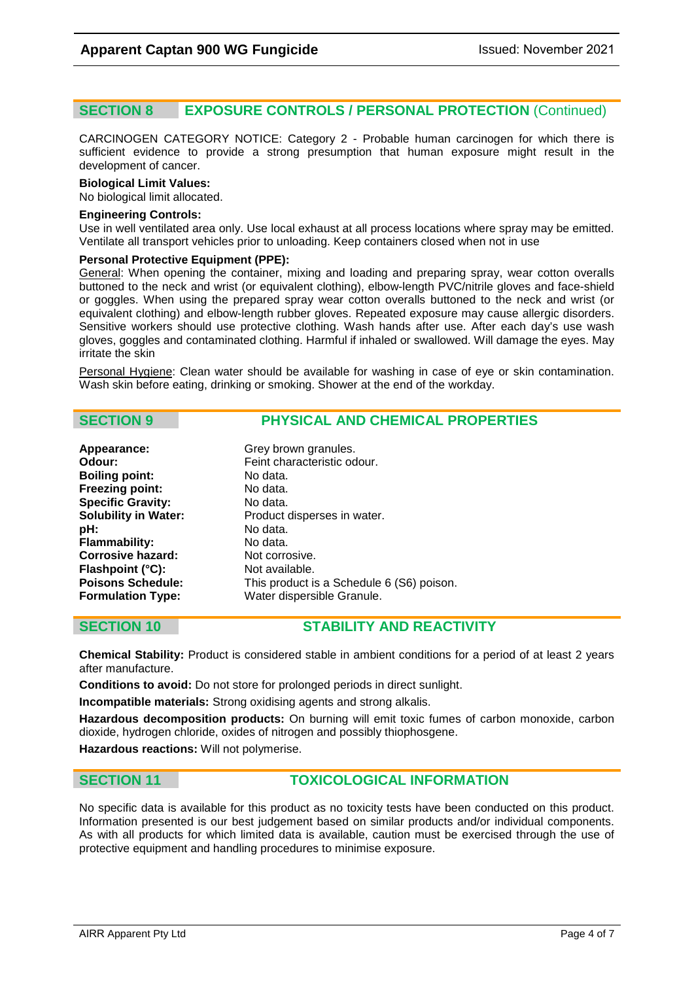### **SECTION 8 EXPOSURE CONTROLS / PERSONAL PROTECTION** (Continued)

CARCINOGEN CATEGORY NOTICE: Category 2 - Probable human carcinogen for which there is sufficient evidence to provide a strong presumption that human exposure might result in the development of cancer.

#### **Biological Limit Values:**

No biological limit allocated.

#### **Engineering Controls:**

Use in well ventilated area only. Use local exhaust at all process locations where spray may be emitted. Ventilate all transport vehicles prior to unloading. Keep containers closed when not in use

#### **Personal Protective Equipment (PPE):**

General: When opening the container, mixing and loading and preparing spray, wear cotton overalls buttoned to the neck and wrist (or equivalent clothing), elbow-length PVC/nitrile gloves and face-shield or goggles. When using the prepared spray wear cotton overalls buttoned to the neck and wrist (or equivalent clothing) and elbow-length rubber gloves. Repeated exposure may cause allergic disorders. Sensitive workers should use protective clothing. Wash hands after use. After each day's use wash gloves, goggles and contaminated clothing. Harmful if inhaled or swallowed. Will damage the eyes. May irritate the skin

Personal Hygiene: Clean water should be available for washing in case of eye or skin contamination. Wash skin before eating, drinking or smoking. Shower at the end of the workday.

#### **SECTION 9 PHYSICAL AND CHEMICAL PROPERTIES**

| Appearance:                 | Grey brown granules.                      |
|-----------------------------|-------------------------------------------|
| Odour:                      | Feint characteristic odour.               |
| <b>Boiling point:</b>       | No data.                                  |
| <b>Freezing point:</b>      | No data.                                  |
| <b>Specific Gravity:</b>    | No data.                                  |
| <b>Solubility in Water:</b> | Product disperses in water.               |
| pH:                         | No data.                                  |
| <b>Flammability:</b>        | No data.                                  |
| <b>Corrosive hazard:</b>    | Not corrosive.                            |
| Flashpoint (°C):            | Not available.                            |
| <b>Poisons Schedule:</b>    | This product is a Schedule 6 (S6) poison. |
| <b>Formulation Type:</b>    | Water dispersible Granule.                |

### **SECTION 10 STABILITY AND REACTIVITY**

**Chemical Stability:** Product is considered stable in ambient conditions for a period of at least 2 years after manufacture.

**Conditions to avoid:** Do not store for prolonged periods in direct sunlight.

**Incompatible materials:** Strong oxidising agents and strong alkalis.

**Hazardous decomposition products:** On burning will emit toxic fumes of carbon monoxide, carbon dioxide, hydrogen chloride, oxides of nitrogen and possibly thiophosgene.

**Hazardous reactions:** Will not polymerise.

#### **SECTION 11 TOXICOLOGICAL INFORMATION**

No specific data is available for this product as no toxicity tests have been conducted on this product. Information presented is our best judgement based on similar products and/or individual components. As with all products for which limited data is available, caution must be exercised through the use of protective equipment and handling procedures to minimise exposure.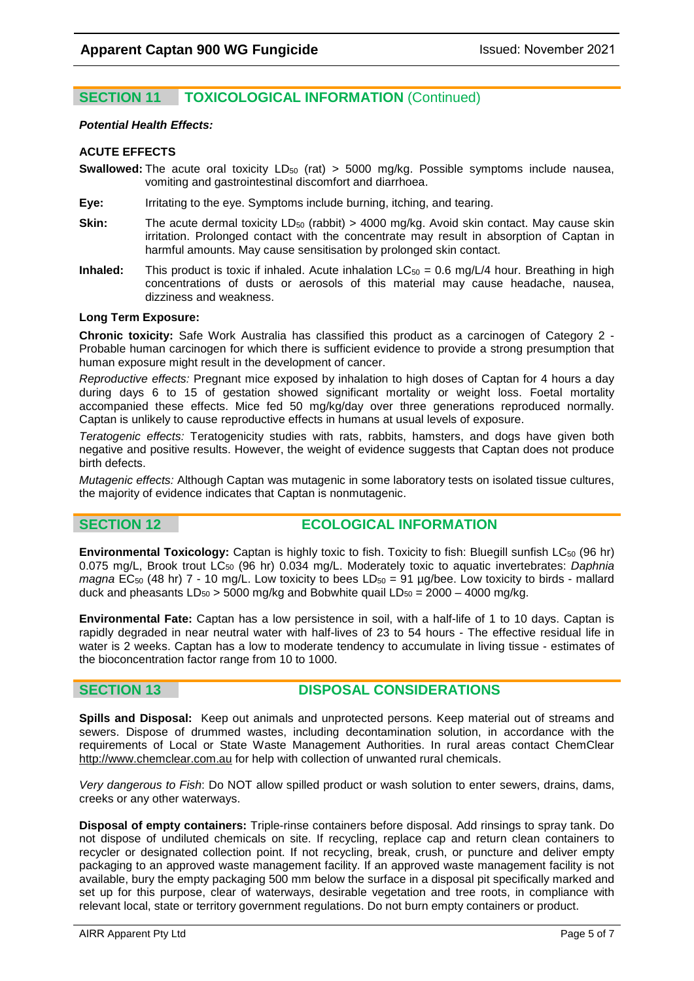### **SECTION 11 TOXICOLOGICAL INFORMATION** (Continued)

#### *Potential Health Effects:*

#### **ACUTE EFFECTS**

**Swallowed:** The acute oral toxicity LD<sub>50</sub> (rat) > 5000 mg/kg. Possible symptoms include nausea, vomiting and gastrointestinal discomfort and diarrhoea.

- **Eye:** Irritating to the eye. Symptoms include burning, itching, and tearing.
- **Skin:** The acute dermal toxicity LD<sub>50</sub> (rabbit) > 4000 mg/kg. Avoid skin contact. May cause skin irritation. Prolonged contact with the concentrate may result in absorption of Captan in harmful amounts. May cause sensitisation by prolonged skin contact.
- **Inhaled:** This product is toxic if inhaled. Acute inhalation LC<sub>50</sub> = 0.6 mg/L/4 hour. Breathing in high concentrations of dusts or aerosols of this material may cause headache, nausea, dizziness and weakness.

#### **Long Term Exposure:**

**Chronic toxicity:** Safe Work Australia has classified this product as a carcinogen of Category 2 - Probable human carcinogen for which there is sufficient evidence to provide a strong presumption that human exposure might result in the development of cancer.

*Reproductive effects:* Pregnant mice exposed by inhalation to high doses of Captan for 4 hours a day during days 6 to 15 of gestation showed significant mortality or weight loss. Foetal mortality accompanied these effects. Mice fed 50 mg/kg/day over three generations reproduced normally. Captan is unlikely to cause reproductive effects in humans at usual levels of exposure.

*Teratogenic effects:* Teratogenicity studies with rats, rabbits, hamsters, and dogs have given both negative and positive results. However, the weight of evidence suggests that Captan does not produce birth defects.

*Mutagenic effects:* Although Captan was mutagenic in some laboratory tests on isolated tissue cultures, the majority of evidence indicates that Captan is nonmutagenic.

### **SECTION 12 ECOLOGICAL INFORMATION**

**Environmental Toxicology:** Captan is highly toxic to fish. Toxicity to fish: Bluegill sunfish LC<sub>50</sub> (96 hr) 0.075 mg/L, Brook trout LC<sub>50</sub> (96 hr) 0.034 mg/L. Moderately toxic to aquatic invertebrates: *Daphnia magna* EC<sub>50</sub> (48 hr) 7 - 10 mg/L. Low toxicity to bees LD<sub>50</sub> = 91 µg/bee. Low toxicity to birds - mallard duck and pheasants  $LD_{50} > 5000$  mg/kg and Bobwhite quail  $LD_{50} = 2000 - 4000$  mg/kg.

**Environmental Fate:** Captan has a low persistence in soil, with a half-life of 1 to 10 days. Captan is rapidly degraded in near neutral water with half-lives of 23 to 54 hours - The effective residual life in water is 2 weeks. Captan has a low to moderate tendency to accumulate in living tissue - estimates of the bioconcentration factor range from 10 to 1000.

### **SECTION 13 DISPOSAL CONSIDERATIONS**

**Spills and Disposal:** Keep out animals and unprotected persons. Keep material out of streams and sewers. Dispose of drummed wastes, including decontamination solution, in accordance with the requirements of Local or State Waste Management Authorities. In rural areas contact ChemClear [http://www.chemclear.com.au](http://www.chemclear.com.au/) for help with collection of unwanted rural chemicals.

*Very dangerous to Fish*: Do NOT allow spilled product or wash solution to enter sewers, drains, dams, creeks or any other waterways.

**Disposal of empty containers:** Triple-rinse containers before disposal. Add rinsings to spray tank. Do not dispose of undiluted chemicals on site. If recycling, replace cap and return clean containers to recycler or designated collection point. If not recycling, break, crush, or puncture and deliver empty packaging to an approved waste management facility. If an approved waste management facility is not available, bury the empty packaging 500 mm below the surface in a disposal pit specifically marked and set up for this purpose, clear of waterways, desirable vegetation and tree roots, in compliance with relevant local, state or territory government regulations. Do not burn empty containers or product.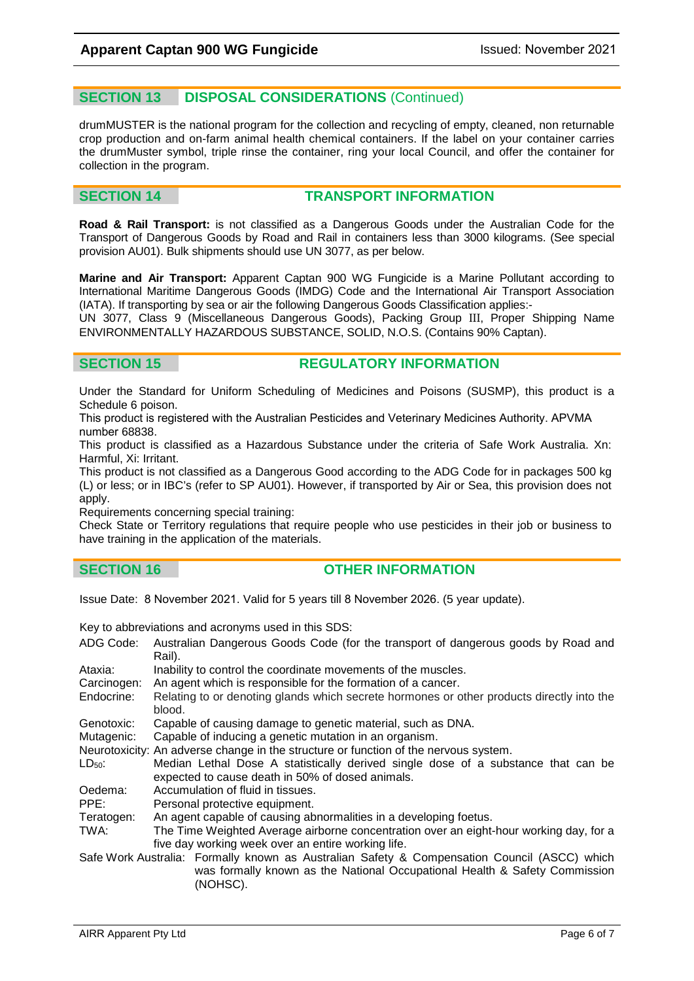#### **SECTION 13 DISPOSAL CONSIDERATIONS** (Continued)

drumMUSTER is the national program for the collection and recycling of empty, cleaned, non returnable crop production and on-farm animal health chemical containers. If the label on your container carries the drumMuster symbol, triple rinse the container, ring your local Council, and offer the container for collection in the program.

#### **SECTION 14 TRANSPORT INFORMATION**

**Road & Rail Transport:** is not classified as a Dangerous Goods under the Australian Code for the Transport of Dangerous Goods by Road and Rail in containers less than 3000 kilograms. (See special provision AU01). Bulk shipments should use UN 3077, as per below.

**Marine and Air Transport:** Apparent Captan 900 WG Fungicide is a Marine Pollutant according to International Maritime Dangerous Goods (IMDG) Code and the International Air Transport Association (IATA). If transporting by sea or air the following Dangerous Goods Classification applies:-

UN 3077, Class 9 (Miscellaneous Dangerous Goods), Packing Group III, Proper Shipping Name ENVIRONMENTALLY HAZARDOUS SUBSTANCE, SOLID, N.O.S. (Contains 90% Captan).

#### **SECTION 15 REGULATORY INFORMATION**

Under the Standard for Uniform Scheduling of Medicines and Poisons (SUSMP), this product is a Schedule 6 poison.

This product is registered with the Australian Pesticides and Veterinary Medicines Authority. APVMA number 68838.

This product is classified as a Hazardous Substance under the criteria of Safe Work Australia. Xn: Harmful, Xi: Irritant.

This product is not classified as a Dangerous Good according to the ADG Code for in packages 500 kg (L) or less; or in IBC's (refer to SP AU01). However, if transported by Air or Sea, this provision does not apply.

Requirements concerning special training:

Check State or Territory regulations that require people who use pesticides in their job or business to have training in the application of the materials.

#### **SECTION 16 OTHER INFORMATION**

Issue Date: 8 November 2021. Valid for 5 years till 8 November 2026. (5 year update).

Key to abbreviations and acronyms used in this SDS:

- ADG Code: Australian Dangerous Goods Code (for the transport of dangerous goods by Road and Rail).
- Ataxia: Inability to control the coordinate movements of the muscles.
- Carcinogen: An agent which is responsible for the formation of a cancer.<br>Endocrine: Relating to or denoting glands which secrete hormones or c
- Relating to or denoting glands which secrete hormones or other products directly into the blood.
- Genotoxic: Capable of causing damage to genetic material, such as DNA.<br>Mutagenic: Capable of inducing a genetic mutation in an organism.
- Capable of inducing a genetic mutation in an organism.
- Neurotoxicity: An adverse change in the structure or function of the nervous system.<br>LD<sub>50</sub>: Median Lethal Dose A statistically derived single dose of a subs
- Median Lethal Dose A statistically derived single dose of a substance that can be expected to cause death in 50% of dosed animals.
- Oedema: Accumulation of fluid in tissues.
- PPE: Personal protective equipment.
- Teratogen: An agent capable of causing abnormalities in a developing foetus.
- TWA: The Time Weighted Average airborne concentration over an eight-hour working day, for a five day working week over an entire working life.
- Safe Work Australia: Formally known as Australian Safety & Compensation Council (ASCC) which was formally known as the National Occupational Health & Safety Commission (NOHSC).